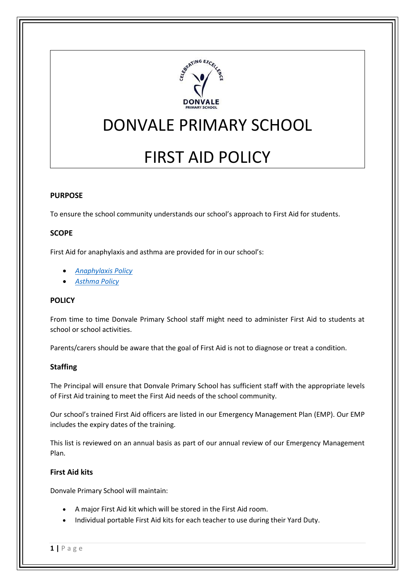

# DONVALE PRIMARY SCHOOL

# FIRST AID POLICY

## **PURPOSE**

To ensure the school community understands our school's approach to First Aid for students.

## **SCOPE**

First Aid for anaphylaxis and asthma are provided for in our school's:

- *[Anaphylaxis Policy](http://donvaleps.vic.edu.au/wp-content/uploads/2011/03/DPS-Anaphylaxis-Management-Policy-2021.pdf)*
- *[Asthma Policy](http://donvaleps.vic.edu.au/wp-content/uploads/2011/03/DPS-Asthma-Policy-20211.pdf)*

#### **POLICY**

From time to time Donvale Primary School staff might need to administer First Aid to students at school or school activities.

Parents/carers should be aware that the goal of First Aid is not to diagnose or treat a condition.

#### **Staffing**

The Principal will ensure that Donvale Primary School has sufficient staff with the appropriate levels of First Aid training to meet the First Aid needs of the school community.

Our school's trained First Aid officers are listed in our Emergency Management Plan (EMP). Our EMP includes the expiry dates of the training.

This list is reviewed on an annual basis as part of our annual review of our Emergency Management Plan.

#### **First Aid kits**

Donvale Primary School will maintain:

- A major First Aid kit which will be stored in the First Aid room.
- Individual portable First Aid kits for each teacher to use during their Yard Duty.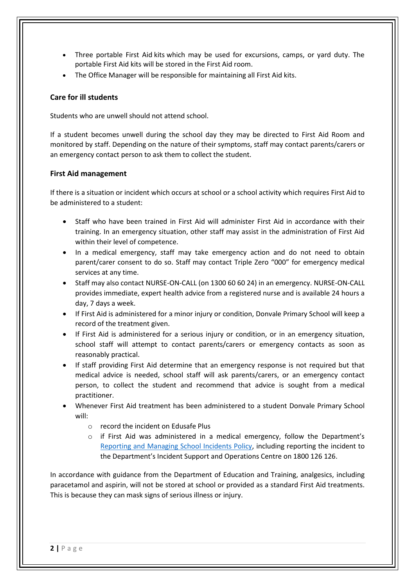- Three portable First Aid kits which may be used for excursions, camps, or yard duty. The portable First Aid kits will be stored in the First Aid room.
- The Office Manager will be responsible for maintaining all First Aid kits.

# **Care for ill students**

Students who are unwell should not attend school.

If a student becomes unwell during the school day they may be directed to First Aid Room and monitored by staff. Depending on the nature of their symptoms, staff may contact parents/carers or an emergency contact person to ask them to collect the student.

#### **First Aid management**

If there is a situation or incident which occurs at school or a school activity which requires First Aid to be administered to a student:

- Staff who have been trained in First Aid will administer First Aid in accordance with their training. In an emergency situation, other staff may assist in the administration of First Aid within their level of competence.
- In a medical emergency, staff may take emergency action and do not need to obtain parent/carer consent to do so. Staff may contact Triple Zero "000" for emergency medical services at any time.
- Staff may also contact NURSE-ON-CALL (on 1300 60 60 24) in an emergency. NURSE-ON-CALL provides immediate, expert health advice from a registered nurse and is available 24 hours a day, 7 days a week.
- If First Aid is administered for a minor injury or condition, Donvale Primary School will keep a record of the treatment given.
- If First Aid is administered for a serious injury or condition, or in an emergency situation, school staff will attempt to contact parents/carers or emergency contacts as soon as reasonably practical.
- If staff providing First Aid determine that an emergency response is not required but that medical advice is needed, school staff will ask parents/carers, or an emergency contact person, to collect the student and recommend that advice is sought from a medical practitioner.
- Whenever First Aid treatment has been administered to a student Donvale Primary School will:
	- o record the incident on Edusafe Plus
	- $\circ$  if First Aid was administered in a medical emergency, follow the Department's [Reporting and Managing School Incidents Policy,](https://www2.education.vic.gov.au/pal/reporting-and-managing-school-incidents-including-emergencies/policy) including reporting the incident to the Department's Incident Support and Operations Centre on 1800 126 126.

In accordance with guidance from the Department of Education and Training, analgesics, including paracetamol and aspirin, will not be stored at school or provided as a standard First Aid treatments. This is because they can mask signs of serious illness or injury.